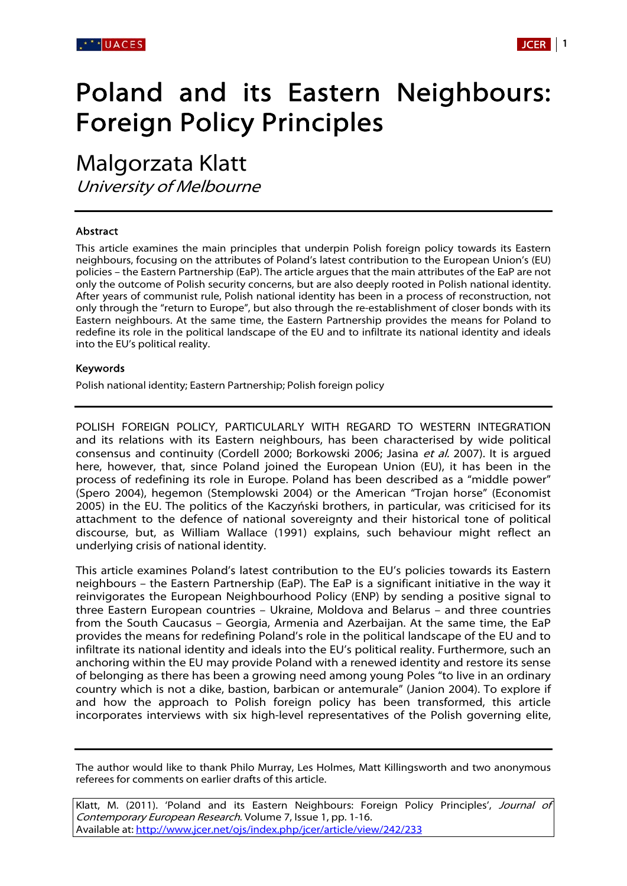# Poland and its Eastern Neighbours: Foreign Policy Principles

Malgorzata Klatt

University of Melbourne

# Abstract

This article examines the main principles that underpin Polish foreign policy towards its Eastern neighbours, focusing on the attributes of Poland's latest contribution to the European Union's (EU) policies – the Eastern Partnership (EaP). The article argues that the main attributes of the EaP are not only the outcome of Polish security concerns, but are also deeply rooted in Polish national identity. After years of communist rule, Polish national identity has been in a process of reconstruction, not only through the "return to Europe", but also through the re-establishment of closer bonds with its Eastern neighbours. At the same time, the Eastern Partnership provides the means for Poland to redefine its role in the political landscape of the EU and to infiltrate its national identity and ideals into the EU's political reality.

#### Keywords

Polish national identity; Eastern Partnership; Polish foreign policy

POLISH FOREIGN POLICY, PARTICULARLY WITH REGARD TO WESTERN INTEGRATION and its relations with its Eastern neighbours, has been characterised by wide political consensus and continuity (Cordell 2000; Borkowski 2006; Jasina et al. 2007). It is argued here, however, that, since Poland joined the European Union (EU), it has been in the process of redefining its role in Europe. Poland has been described as a "middle power" (Spero 2004), hegemon (Stemplowski 2004) or the American "Trojan horse" (Economist 2005) in the EU. The politics of the Kaczyński brothers, in particular, was criticised for its attachment to the defence of national sovereignty and their historical tone of political discourse, but, as William Wallace (1991) explains, such behaviour might reflect an underlying crisis of national identity.

This article examines Poland's latest contribution to the EU's policies towards its Eastern neighbours – the Eastern Partnership (EaP). The EaP is a significant initiative in the way it reinvigorates the European Neighbourhood Policy (ENP) by sending a positive signal to three Eastern European countries – Ukraine, Moldova and Belarus – and three countries from the South Caucasus – Georgia, Armenia and Azerbaijan. At the same time, the EaP provides the means for redefining Poland's role in the political landscape of the EU and to infiltrate its national identity and ideals into the EU's political reality. Furthermore, such an anchoring within the EU may provide Poland with a renewed identity and restore its sense of belonging as there has been a growing need among young Poles "to live in an ordinary country which is not a dike, bastion, barbican or antemurale" (Janion 2004). To explore if and how the approach to Polish foreign policy has been transformed, this article incorporates interviews with six high-level representatives of the Polish governing elite,

The author would like to thank Philo Murray, Les Holmes, Matt Killingsworth and two anonymous referees for comments on earlier drafts of this article.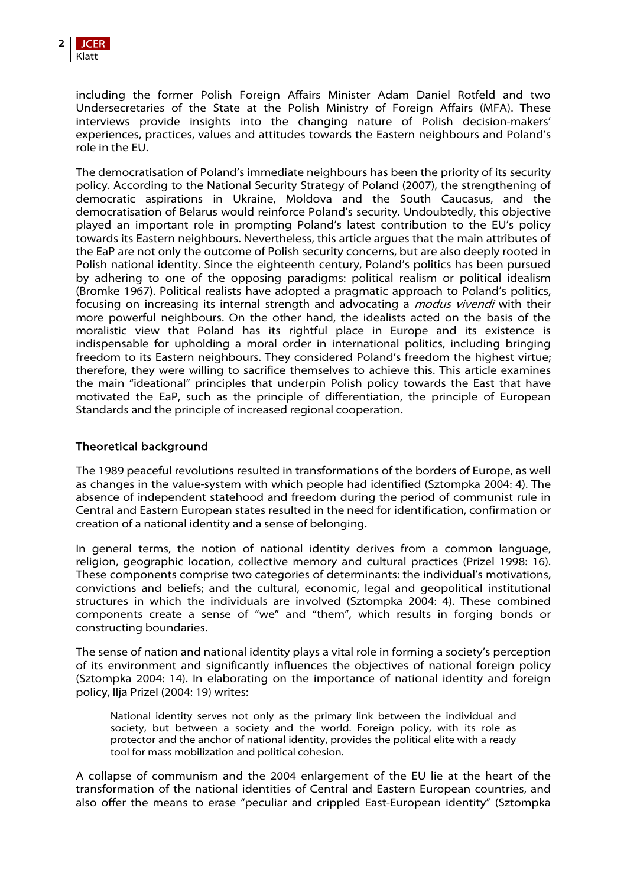including the former Polish Foreign Affairs Minister Adam Daniel Rotfeld and two Undersecretaries of the State at the Polish Ministry of Foreign Affairs (MFA). These interviews provide insights into the changing nature of Polish decision-makers' experiences, practices, values and attitudes towards the Eastern neighbours and Poland's role in the EU.

The democratisation of Poland's immediate neighbours has been the priority of its security policy. According to the National Security Strategy of Poland (2007), the strengthening of democratic aspirations in Ukraine, Moldova and the South Caucasus, and the democratisation of Belarus would reinforce Poland's security. Undoubtedly, this objective played an important role in prompting Poland's latest contribution to the EU's policy towards its Eastern neighbours. Nevertheless, this article argues that the main attributes of the EaP are not only the outcome of Polish security concerns, but are also deeply rooted in Polish national identity. Since the eighteenth century, Poland's politics has been pursued by adhering to one of the opposing paradigms: political realism or political idealism (Bromke 1967). Political realists have adopted a pragmatic approach to Poland's politics, focusing on increasing its internal strength and advocating a *modus vivendi* with their more powerful neighbours. On the other hand, the idealists acted on the basis of the moralistic view that Poland has its rightful place in Europe and its existence is indispensable for upholding a moral order in international politics, including bringing freedom to its Eastern neighbours. They considered Poland's freedom the highest virtue; therefore, they were willing to sacrifice themselves to achieve this. This article examines the main "ideational" principles that underpin Polish policy towards the East that have motivated the EaP, such as the principle of differentiation, the principle of European Standards and the principle of increased regional cooperation.

# Theoretical background

The 1989 peaceful revolutions resulted in transformations of the borders of Europe, as well as changes in the value-system with which people had identified (Sztompka 2004: 4). The absence of independent statehood and freedom during the period of communist rule in Central and Eastern European states resulted in the need for identification, confirmation or creation of a national identity and a sense of belonging.

In general terms, the notion of national identity derives from a common language, religion, geographic location, collective memory and cultural practices (Prizel 1998: 16). These components comprise two categories of determinants: the individual's motivations, convictions and beliefs; and the cultural, economic, legal and geopolitical institutional structures in which the individuals are involved (Sztompka 2004: 4). These combined components create a sense of "we" and "them", which results in forging bonds or constructing boundaries.

The sense of nation and national identity plays a vital role in forming a society's perception of its environment and significantly influences the objectives of national foreign policy (Sztompka 2004: 14). In elaborating on the importance of national identity and foreign policy, Ilja Prizel (2004: 19) writes:

National identity serves not only as the primary link between the individual and society, but between a society and the world. Foreign policy, with its role as protector and the anchor of national identity, provides the political elite with a ready tool for mass mobilization and political cohesion.

A collapse of communism and the 2004 enlargement of the EU lie at the heart of the transformation of the national identities of Central and Eastern European countries, and also offer the means to erase "peculiar and crippled East-European identity" (Sztompka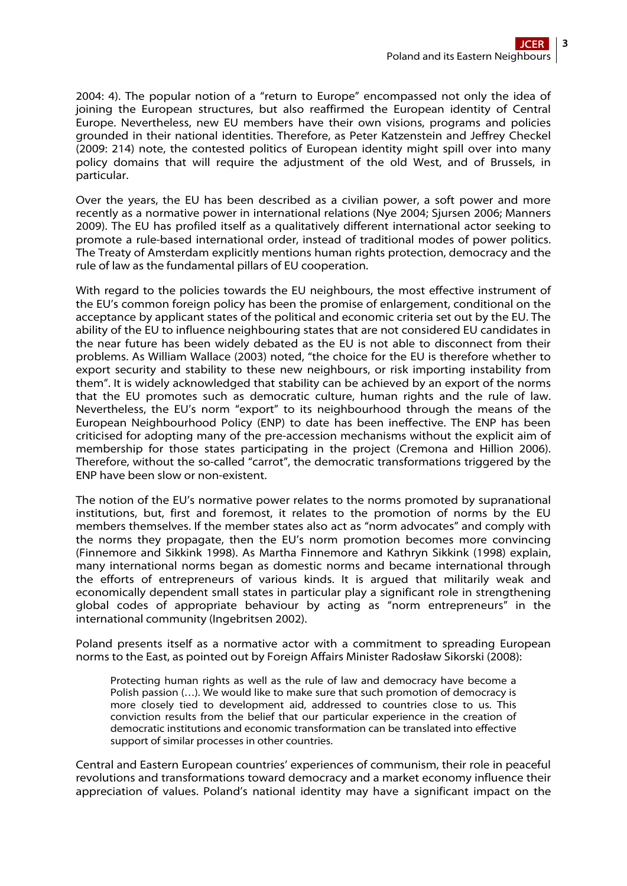2004: 4). The popular notion of a "return to Europe" encompassed not only the idea of joining the European structures, but also reaffirmed the European identity of Central Europe. Nevertheless, new EU members have their own visions, programs and policies grounded in their national identities. Therefore, as Peter Katzenstein and Jeffrey Checkel (2009: 214) note, the contested politics of European identity might spill over into many policy domains that will require the adjustment of the old West, and of Brussels, in particular.

Over the years, the EU has been described as a civilian power, a soft power and more recently as a normative power in international relations (Nye 2004; Sjursen 2006; Manners 2009). The EU has profiled itself as a qualitatively different international actor seeking to promote a rule-based international order, instead of traditional modes of power politics. The Treaty of Amsterdam explicitly mentions human rights protection, democracy and the rule of law as the fundamental pillars of EU cooperation.

With regard to the policies towards the EU neighbours, the most effective instrument of the EU's common foreign policy has been the promise of enlargement, conditional on the acceptance by applicant states of the political and economic criteria set out by the EU. The ability of the EU to influence neighbouring states that are not considered EU candidates in the near future has been widely debated as the EU is not able to disconnect from their problems. As William Wallace (2003) noted, "the choice for the EU is therefore whether to export security and stability to these new neighbours, or risk importing instability from them". It is widely acknowledged that stability can be achieved by an export of the norms that the EU promotes such as democratic culture, human rights and the rule of law. Nevertheless, the EU's norm "export" to its neighbourhood through the means of the European Neighbourhood Policy (ENP) to date has been ineffective. The ENP has been criticised for adopting many of the pre-accession mechanisms without the explicit aim of membership for those states participating in the project (Cremona and Hillion 2006). Therefore, without the so-called "carrot", the democratic transformations triggered by the ENP have been slow or non-existent.

The notion of the EU's normative power relates to the norms promoted by supranational institutions, but, first and foremost, it relates to the promotion of norms by the EU members themselves. If the member states also act as "norm advocates" and comply with the norms they propagate, then the EU's norm promotion becomes more convincing (Finnemore and Sikkink 1998). As Martha Finnemore and Kathryn Sikkink (1998) explain, many international norms began as domestic norms and became international through the efforts of entrepreneurs of various kinds. It is argued that militarily weak and economically dependent small states in particular play a significant role in strengthening global codes of appropriate behaviour by acting as "norm entrepreneurs" in the international community (Ingebritsen 2002).

Poland presents itself as a normative actor with a commitment to spreading European norms to the East, as pointed out by Foreign Affairs Minister Radosław Sikorski (2008):

Protecting human rights as well as the rule of law and democracy have become a Polish passion (…). We would like to make sure that such promotion of democracy is more closely tied to development aid, addressed to countries close to us. This conviction results from the belief that our particular experience in the creation of democratic institutions and economic transformation can be translated into effective support of similar processes in other countries.

Central and Eastern European countries' experiences of communism, their role in peaceful revolutions and transformations toward democracy and a market economy influence their appreciation of values. Poland's national identity may have a significant impact on the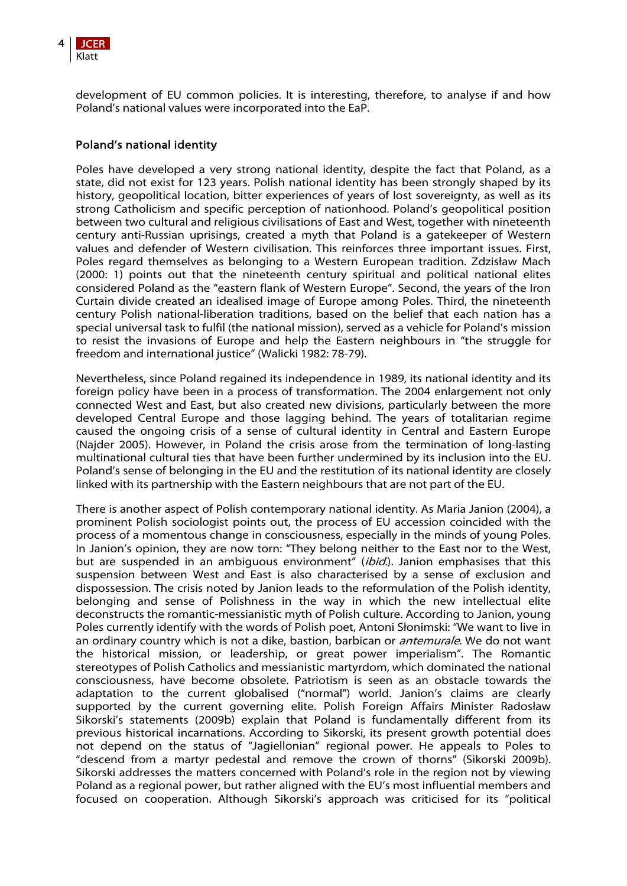

development of EU common policies. It is interesting, therefore, to analyse if and how Poland's national values were incorporated into the EaP.

#### Poland's national identity

Poles have developed a very strong national identity, despite the fact that Poland, as a state, did not exist for 123 years. Polish national identity has been strongly shaped by its history, geopolitical location, bitter experiences of years of lost sovereignty, as well as its strong Catholicism and specific perception of nationhood. Poland's geopolitical position between two cultural and religious civilisations of East and West, together with nineteenth century anti-Russian uprisings, created a myth that Poland is a gatekeeper of Western values and defender of Western civilisation. This reinforces three important issues. First, Poles regard themselves as belonging to a Western European tradition. Zdzisław Mach (2000: 1) points out that the nineteenth century spiritual and political national elites considered Poland as the "eastern flank of Western Europe". Second, the years of the Iron Curtain divide created an idealised image of Europe among Poles. Third, the nineteenth century Polish national-liberation traditions, based on the belief that each nation has a special universal task to fulfil (the national mission), served as a vehicle for Poland's mission to resist the invasions of Europe and help the Eastern neighbours in "the struggle for freedom and international justice" (Walicki 1982: 78-79).

Nevertheless, since Poland regained its independence in 1989, its national identity and its foreign policy have been in a process of transformation. The 2004 enlargement not only connected West and East, but also created new divisions, particularly between the more developed Central Europe and those lagging behind. The years of totalitarian regime caused the ongoing crisis of a sense of cultural identity in Central and Eastern Europe (Najder 2005). However, in Poland the crisis arose from the termination of long-lasting multinational cultural ties that have been further undermined by its inclusion into the EU. Poland's sense of belonging in the EU and the restitution of its national identity are closely linked with its partnership with the Eastern neighbours that are not part of the EU.

There is another aspect of Polish contemporary national identity. As Maria Janion (2004), a prominent Polish sociologist points out, the process of EU accession coincided with the process of a momentous change in consciousness, especially in the minds of young Poles. In Janion's opinion, they are now torn: "They belong neither to the East nor to the West, but are suspended in an ambiguous environment" (ibid.). Janion emphasises that this suspension between West and East is also characterised by a sense of exclusion and dispossession. The crisis noted by Janion leads to the reformulation of the Polish identity, belonging and sense of Polishness in the way in which the new intellectual elite deconstructs the romantic-messianistic myth of Polish culture. According to Janion, young Poles currently identify with the words of Polish poet, Antoni Słonimski: "We want to live in an ordinary country which is not a dike, bastion, barbican or *antemurale*. We do not want the historical mission, or leadership, or great power imperialism". The Romantic stereotypes of Polish Catholics and messianistic martyrdom, which dominated the national consciousness, have become obsolete. Patriotism is seen as an obstacle towards the adaptation to the current globalised ("normal") world. Janion's claims are clearly supported by the current governing elite. Polish Foreign Affairs Minister Radosław Sikorski's statements (2009b) explain that Poland is fundamentally different from its previous historical incarnations. According to Sikorski, its present growth potential does not depend on the status of "Jagiellonian" regional power. He appeals to Poles to "descend from a martyr pedestal and remove the crown of thorns" (Sikorski 2009b). Sikorski addresses the matters concerned with Poland's role in the region not by viewing Poland as a regional power, but rather aligned with the EU's most influential members and focused on cooperation. Although Sikorski's approach was criticised for its "political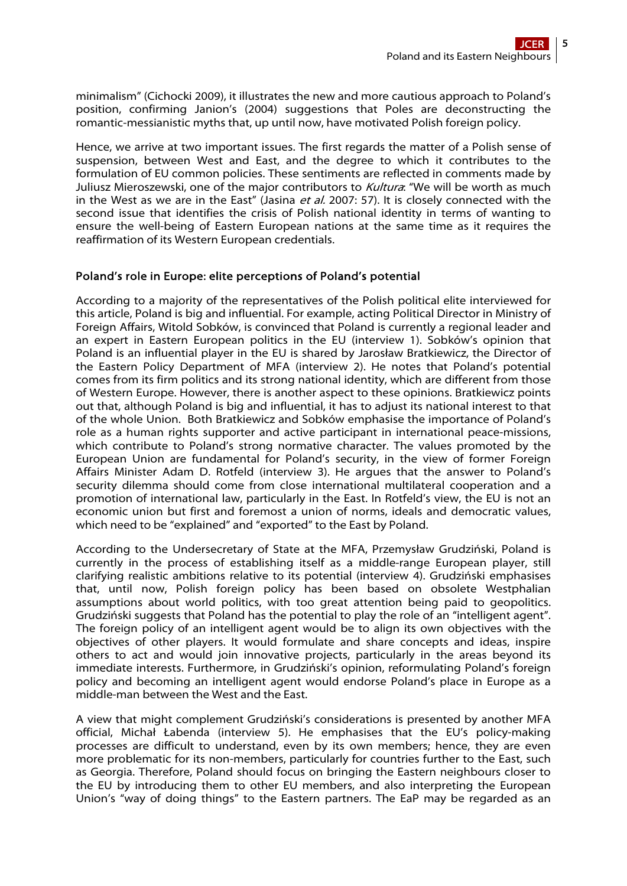minimalism" (Cichocki 2009), it illustrates the new and more cautious approach to Poland's position, confirming Janion's (2004) suggestions that Poles are deconstructing the romantic-messianistic myths that, up until now, have motivated Polish foreign policy.

Hence, we arrive at two important issues. The first regards the matter of a Polish sense of suspension, between West and East, and the degree to which it contributes to the formulation of EU common policies. These sentiments are reflected in comments made by Juliusz Mieroszewski, one of the major contributors to Kultura: "We will be worth as much in the West as we are in the East" (Jasina et al. 2007: 57). It is closely connected with the second issue that identifies the crisis of Polish national identity in terms of wanting to ensure the well-being of Eastern European nations at the same time as it requires the reaffirmation of its Western European credentials.

#### Poland's role in Europe: elite perceptions of Poland's potential

According to a majority of the representatives of the Polish political elite interviewed for this article, Poland is big and influential. For example, acting Political Director in Ministry of Foreign Affairs, Witold Sobków, is convinced that Poland is currently a regional leader and an expert in Eastern European politics in the EU (interview 1). Sobków's opinion that Poland is an influential player in the EU is shared by Jarosław Bratkiewicz, the Director of the Eastern Policy Department of MFA (interview 2). He notes that Poland's potential comes from its firm politics and its strong national identity, which are different from those of Western Europe. However, there is another aspect to these opinions. Bratkiewicz points out that, although Poland is big and influential, it has to adjust its national interest to that of the whole Union. Both Bratkiewicz and Sobków emphasise the importance of Poland's role as a human rights supporter and active participant in international peace-missions, which contribute to Poland's strong normative character. The values promoted by the European Union are fundamental for Poland's security, in the view of former Foreign Affairs Minister Adam D. Rotfeld (interview 3). He argues that the answer to Poland's security dilemma should come from close international multilateral cooperation and a promotion of international law, particularly in the East. In Rotfeld's view, the EU is not an economic union but first and foremost a union of norms, ideals and democratic values, which need to be "explained" and "exported" to the East by Poland.

According to the Undersecretary of State at the MFA, Przemysław Grudziński, Poland is currently in the process of establishing itself as a middle-range European player, still clarifying realistic ambitions relative to its potential (interview 4). Grudziński emphasises that, until now, Polish foreign policy has been based on obsolete Westphalian assumptions about world politics, with too great attention being paid to geopolitics. Grudziński suggests that Poland has the potential to play the role of an "intelligent agent". The foreign policy of an intelligent agent would be to align its own objectives with the objectives of other players. It would formulate and share concepts and ideas, inspire others to act and would join innovative projects, particularly in the areas beyond its immediate interests. Furthermore, in Grudziński's opinion, reformulating Poland's foreign policy and becoming an intelligent agent would endorse Poland's place in Europe as a middle-man between the West and the East.

A view that might complement Grudziński's considerations is presented by another MFA official, Michał Łabenda (interview 5). He emphasises that the EU's policy-making processes are difficult to understand, even by its own members; hence, they are even more problematic for its non-members, particularly for countries further to the East, such as Georgia. Therefore, Poland should focus on bringing the Eastern neighbours closer to the EU by introducing them to other EU members, and also interpreting the European Union's "way of doing things" to the Eastern partners. The EaP may be regarded as an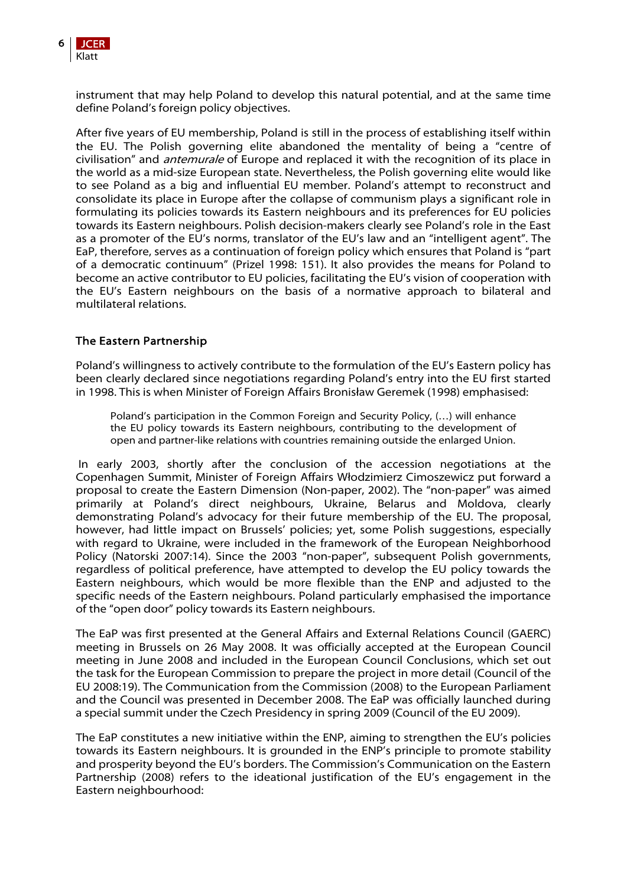

instrument that may help Poland to develop this natural potential, and at the same time define Poland's foreign policy objectives.

After five years of EU membership, Poland is still in the process of establishing itself within the EU. The Polish governing elite abandoned the mentality of being a "centre of civilisation" and *antemurale* of Europe and replaced it with the recognition of its place in the world as a mid-size European state. Nevertheless, the Polish governing elite would like to see Poland as a big and influential EU member. Poland's attempt to reconstruct and consolidate its place in Europe after the collapse of communism plays a significant role in formulating its policies towards its Eastern neighbours and its preferences for EU policies towards its Eastern neighbours. Polish decision-makers clearly see Poland's role in the East as a promoter of the EU's norms, translator of the EU's law and an "intelligent agent". The EaP, therefore, serves as a continuation of foreign policy which ensures that Poland is "part of a democratic continuum" (Prizel 1998: 151). It also provides the means for Poland to become an active contributor to EU policies, facilitating the EU's vision of cooperation with the EU's Eastern neighbours on the basis of a normative approach to bilateral and multilateral relations.

# The Eastern Partnership

Poland's willingness to actively contribute to the formulation of the EU's Eastern policy has been clearly declared since negotiations regarding Poland's entry into the EU first started in 1998. This is when Minister of Foreign Affairs Bronisław Geremek (1998) emphasised:

Poland's participation in the Common Foreign and Security Policy, (…) will enhance the EU policy towards its Eastern neighbours, contributing to the development of open and partner-like relations with countries remaining outside the enlarged Union.

 In early 2003, shortly after the conclusion of the accession negotiations at the Copenhagen Summit, Minister of Foreign Affairs Włodzimierz Cimoszewicz put forward a proposal to create the Eastern Dimension (Non-paper, 2002). The "non-paper" was aimed primarily at Poland's direct neighbours, Ukraine, Belarus and Moldova, clearly demonstrating Poland's advocacy for their future membership of the EU. The proposal, however, had little impact on Brussels' policies; yet, some Polish suggestions, especially with regard to Ukraine, were included in the framework of the European Neighborhood Policy (Natorski 2007:14). Since the 2003 "non-paper", subsequent Polish governments, regardless of political preference, have attempted to develop the EU policy towards the Eastern neighbours, which would be more flexible than the ENP and adjusted to the specific needs of the Eastern neighbours. Poland particularly emphasised the importance of the "open door" policy towards its Eastern neighbours.

The EaP was first presented at the General Affairs and External Relations Council (GAERC) meeting in Brussels on 26 May 2008. It was officially accepted at the European Council meeting in June 2008 and included in the European Council Conclusions, which set out the task for the European Commission to prepare the project in more detail (Council of the EU 2008:19). The Communication from the Commission (2008) to the European Parliament and the Council was presented in December 2008. The EaP was officially launched during a special summit under the Czech Presidency in spring 2009 (Council of the EU 2009).

The EaP constitutes a new initiative within the ENP, aiming to strengthen the EU's policies towards its Eastern neighbours. It is grounded in the ENP's principle to promote stability and prosperity beyond the EU's borders. The Commission's Communication on the Eastern Partnership (2008) refers to the ideational justification of the EU's engagement in the Eastern neighbourhood: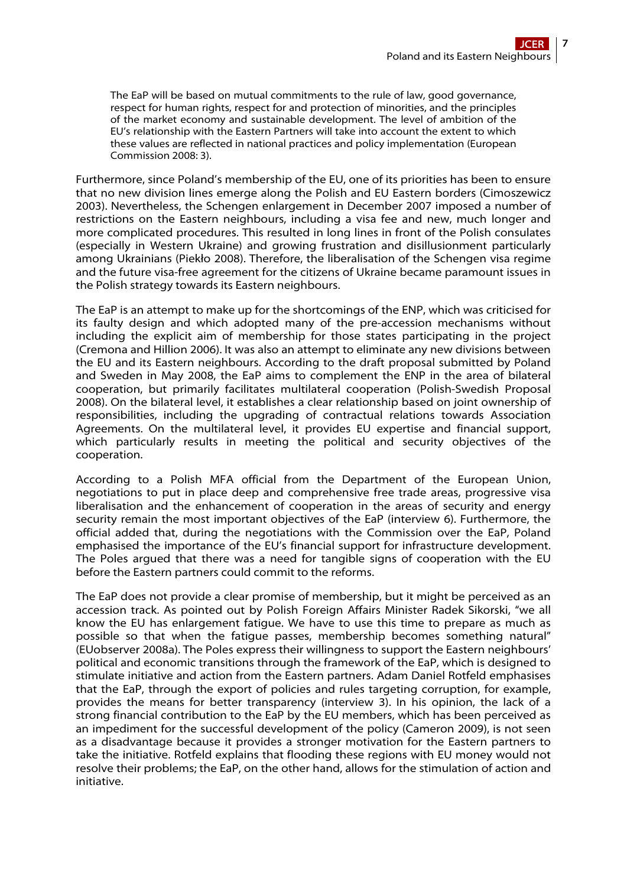The EaP will be based on mutual commitments to the rule of law, good governance, respect for human rights, respect for and protection of minorities, and the principles of the market economy and sustainable development. The level of ambition of the EU's relationship with the Eastern Partners will take into account the extent to which these values are reflected in national practices and policy implementation (European Commission 2008: 3).

Furthermore, since Poland's membership of the EU, one of its priorities has been to ensure that no new division lines emerge along the Polish and EU Eastern borders (Cimoszewicz 2003). Nevertheless, the Schengen enlargement in December 2007 imposed a number of restrictions on the Eastern neighbours, including a visa fee and new, much longer and more complicated procedures. This resulted in long lines in front of the Polish consulates (especially in Western Ukraine) and growing frustration and disillusionment particularly among Ukrainians (Piekło 2008). Therefore, the liberalisation of the Schengen visa regime and the future visa-free agreement for the citizens of Ukraine became paramount issues in the Polish strategy towards its Eastern neighbours.

The EaP is an attempt to make up for the shortcomings of the ENP, which was criticised for its faulty design and which adopted many of the pre-accession mechanisms without including the explicit aim of membership for those states participating in the project (Cremona and Hillion 2006). It was also an attempt to eliminate any new divisions between the EU and its Eastern neighbours. According to the draft proposal submitted by Poland and Sweden in May 2008, the EaP aims to complement the ENP in the area of bilateral cooperation, but primarily facilitates multilateral cooperation (Polish-Swedish Proposal 2008). On the bilateral level, it establishes a clear relationship based on joint ownership of responsibilities, including the upgrading of contractual relations towards Association Agreements. On the multilateral level, it provides EU expertise and financial support, which particularly results in meeting the political and security objectives of the cooperation.

According to a Polish MFA official from the Department of the European Union, negotiations to put in place deep and comprehensive free trade areas, progressive visa liberalisation and the enhancement of cooperation in the areas of security and energy security remain the most important objectives of the EaP (interview 6). Furthermore, the official added that, during the negotiations with the Commission over the EaP, Poland emphasised the importance of the EU's financial support for infrastructure development. The Poles argued that there was a need for tangible signs of cooperation with the EU before the Eastern partners could commit to the reforms.

The EaP does not provide a clear promise of membership, but it might be perceived as an accession track. As pointed out by Polish Foreign Affairs Minister Radek Sikorski, "we all know the EU has enlargement fatigue. We have to use this time to prepare as much as possible so that when the fatigue passes, membership becomes something natural" (EUobserver 2008a). The Poles express their willingness to support the Eastern neighbours' political and economic transitions through the framework of the EaP, which is designed to stimulate initiative and action from the Eastern partners. Adam Daniel Rotfeld emphasises that the EaP, through the export of policies and rules targeting corruption, for example, provides the means for better transparency (interview 3). In his opinion, the lack of a strong financial contribution to the EaP by the EU members, which has been perceived as an impediment for the successful development of the policy (Cameron 2009), is not seen as a disadvantage because it provides a stronger motivation for the Eastern partners to take the initiative. Rotfeld explains that flooding these regions with EU money would not resolve their problems; the EaP, on the other hand, allows for the stimulation of action and initiative.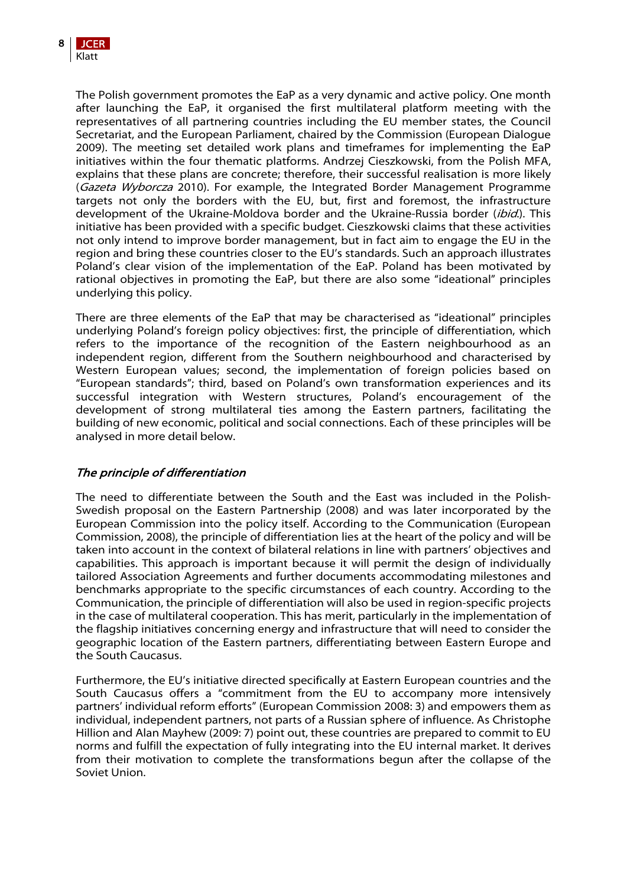The Polish government promotes the EaP as a very dynamic and active policy. One month after launching the EaP, it organised the first multilateral platform meeting with the representatives of all partnering countries including the EU member states, the Council Secretariat, and the European Parliament, chaired by the Commission (European Dialogue 2009). The meeting set detailed work plans and timeframes for implementing the EaP initiatives within the four thematic platforms. Andrzej Cieszkowski, from the Polish MFA, explains that these plans are concrete; therefore, their successful realisation is more likely (Gazeta Wyborcza 2010). For example, the Integrated Border Management Programme targets not only the borders with the EU, but, first and foremost, the infrastructure development of the Ukraine-Moldova border and the Ukraine-Russia border (*ibid*.). This initiative has been provided with a specific budget. Cieszkowski claims that these activities not only intend to improve border management, but in fact aim to engage the EU in the region and bring these countries closer to the EU's standards. Such an approach illustrates Poland's clear vision of the implementation of the EaP. Poland has been motivated by rational objectives in promoting the EaP, but there are also some "ideational" principles underlying this policy.

There are three elements of the EaP that may be characterised as "ideational" principles underlying Poland's foreign policy objectives: first, the principle of differentiation, which refers to the importance of the recognition of the Eastern neighbourhood as an independent region, different from the Southern neighbourhood and characterised by Western European values; second, the implementation of foreign policies based on "European standards"; third, based on Poland's own transformation experiences and its successful integration with Western structures, Poland's encouragement of the development of strong multilateral ties among the Eastern partners, facilitating the building of new economic, political and social connections. Each of these principles will be analysed in more detail below.

# The principle of differentiation

The need to differentiate between the South and the East was included in the Polish-Swedish proposal on the Eastern Partnership (2008) and was later incorporated by the European Commission into the policy itself. According to the Communication (European Commission, 2008), the principle of differentiation lies at the heart of the policy and will be taken into account in the context of bilateral relations in line with partners' objectives and capabilities. This approach is important because it will permit the design of individually tailored Association Agreements and further documents accommodating milestones and benchmarks appropriate to the specific circumstances of each country. According to the Communication, the principle of differentiation will also be used in region-specific projects in the case of multilateral cooperation. This has merit, particularly in the implementation of the flagship initiatives concerning energy and infrastructure that will need to consider the geographic location of the Eastern partners, differentiating between Eastern Europe and the South Caucasus.

Furthermore, the EU's initiative directed specifically at Eastern European countries and the South Caucasus offers a "commitment from the EU to accompany more intensively partners' individual reform efforts" (European Commission 2008: 3) and empowers them as individual, independent partners, not parts of a Russian sphere of influence. As Christophe Hillion and Alan Mayhew (2009: 7) point out, these countries are prepared to commit to EU norms and fulfill the expectation of fully integrating into the EU internal market. It derives from their motivation to complete the transformations begun after the collapse of the Soviet Union.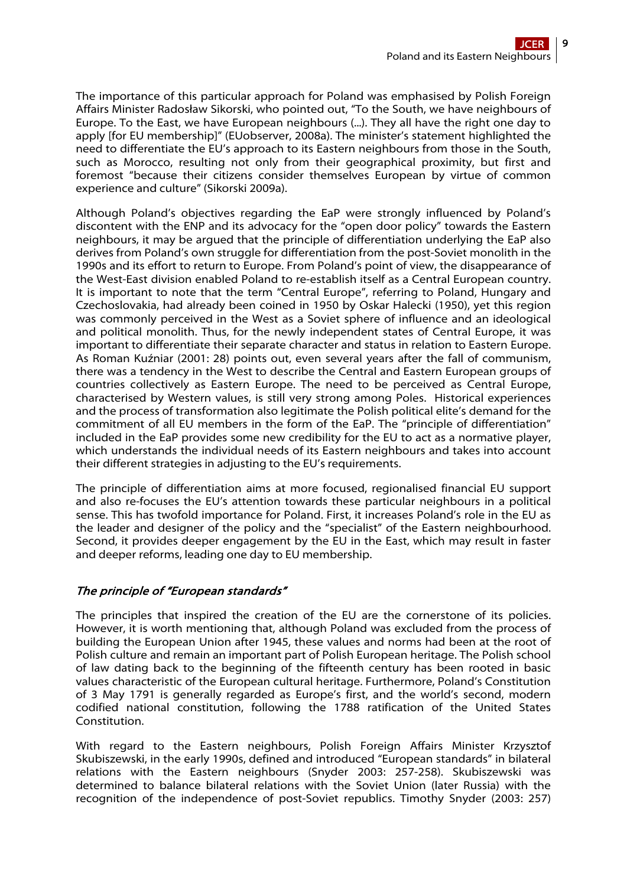The importance of this particular approach for Poland was emphasised by Polish Foreign Affairs Minister Radosław Sikorski, who pointed out, "To the South, we have neighbours of Europe. To the East, we have European neighbours (...). They all have the right one day to apply [for EU membership]" (EUobserver, 2008a). The minister's statement highlighted the need to differentiate the EU's approach to its Eastern neighbours from those in the South, such as Morocco, resulting not only from their geographical proximity, but first and foremost "because their citizens consider themselves European by virtue of common experience and culture" (Sikorski 2009a).

Although Poland's objectives regarding the EaP were strongly influenced by Poland's discontent with the ENP and its advocacy for the "open door policy" towards the Eastern neighbours, it may be argued that the principle of differentiation underlying the EaP also derives from Poland's own struggle for differentiation from the post-Soviet monolith in the 1990s and its effort to return to Europe. From Poland's point of view, the disappearance of the West-East division enabled Poland to re-establish itself as a Central European country. It is important to note that the term "Central Europe", referring to Poland, Hungary and Czechoslovakia, had already been coined in 1950 by Oskar Halecki (1950), yet this region was commonly perceived in the West as a Soviet sphere of influence and an ideological and political monolith. Thus, for the newly independent states of Central Europe, it was important to differentiate their separate character and status in relation to Eastern Europe. As Roman Kuźniar (2001: 28) points out, even several years after the fall of communism, there was a tendency in the West to describe the Central and Eastern European groups of countries collectively as Eastern Europe. The need to be perceived as Central Europe, characterised by Western values, is still very strong among Poles. Historical experiences and the process of transformation also legitimate the Polish political elite's demand for the commitment of all EU members in the form of the EaP. The "principle of differentiation" included in the EaP provides some new credibility for the EU to act as a normative player, which understands the individual needs of its Eastern neighbours and takes into account their different strategies in adjusting to the EU's requirements.

The principle of differentiation aims at more focused, regionalised financial EU support and also re-focuses the EU's attention towards these particular neighbours in a political sense. This has twofold importance for Poland. First, it increases Poland's role in the EU as the leader and designer of the policy and the "specialist" of the Eastern neighbourhood. Second, it provides deeper engagement by the EU in the East, which may result in faster and deeper reforms, leading one day to EU membership.

# The principle of "European standards"

The principles that inspired the creation of the EU are the cornerstone of its policies. However, it is worth mentioning that, although Poland was excluded from the process of building the European Union after 1945, these values and norms had been at the root of Polish culture and remain an important part of Polish European heritage. The Polish school of law dating back to the beginning of the fifteenth century has been rooted in basic values characteristic of the European cultural heritage. Furthermore, Poland's Constitution of 3 May 1791 is generally regarded as Europe's first, and the world's second, modern codified national constitution, following the 1788 ratification of the United States Constitution.

With regard to the Eastern neighbours, Polish Foreign Affairs Minister Krzysztof Skubiszewski, in the early 1990s, defined and introduced "European standards" in bilateral relations with the Eastern neighbours (Snyder 2003: 257-258). Skubiszewski was determined to balance bilateral relations with the Soviet Union (later Russia) with the recognition of the independence of post-Soviet republics. Timothy Snyder (2003: 257)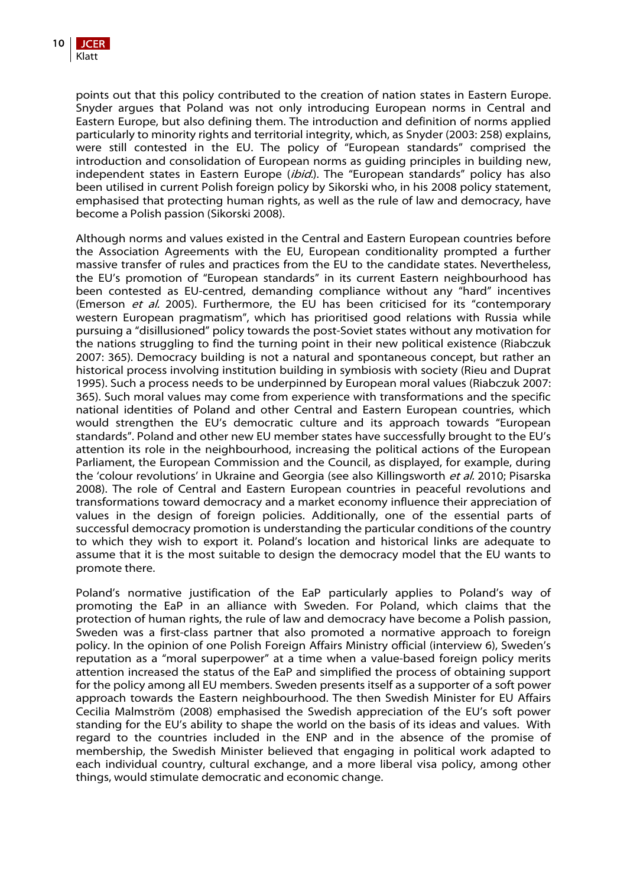

points out that this policy contributed to the creation of nation states in Eastern Europe. Snyder argues that Poland was not only introducing European norms in Central and Eastern Europe, but also defining them. The introduction and definition of norms applied particularly to minority rights and territorial integrity, which, as Snyder (2003: 258) explains, were still contested in the EU. The policy of "European standards" comprised the introduction and consolidation of European norms as guiding principles in building new, independent states in Eastern Europe (*ibid.*). The "European standards" policy has also been utilised in current Polish foreign policy by Sikorski who, in his 2008 policy statement, emphasised that protecting human rights, as well as the rule of law and democracy, have become a Polish passion (Sikorski 2008).

Although norms and values existed in the Central and Eastern European countries before the Association Agreements with the EU, European conditionality prompted a further massive transfer of rules and practices from the EU to the candidate states. Nevertheless, the EU's promotion of "European standards" in its current Eastern neighbourhood has been contested as EU-centred, demanding compliance without any "hard" incentives (Emerson et al. 2005). Furthermore, the EU has been criticised for its "contemporary western European pragmatism", which has prioritised good relations with Russia while pursuing a "disillusioned" policy towards the post-Soviet states without any motivation for the nations struggling to find the turning point in their new political existence (Riabczuk 2007: 365). Democracy building is not a natural and spontaneous concept, but rather an historical process involving institution building in symbiosis with society (Rieu and Duprat 1995). Such a process needs to be underpinned by European moral values (Riabczuk 2007: 365). Such moral values may come from experience with transformations and the specific national identities of Poland and other Central and Eastern European countries, which would strengthen the EU's democratic culture and its approach towards "European standards". Poland and other new EU member states have successfully brought to the EU's attention its role in the neighbourhood, increasing the political actions of the European Parliament, the European Commission and the Council, as displayed, for example, during the 'colour revolutions' in Ukraine and Georgia (see also Killingsworth et al. 2010; Pisarska 2008). The role of Central and Eastern European countries in peaceful revolutions and transformations toward democracy and a market economy influence their appreciation of values in the design of foreign policies. Additionally, one of the essential parts of successful democracy promotion is understanding the particular conditions of the country to which they wish to export it. Poland's location and historical links are adequate to assume that it is the most suitable to design the democracy model that the EU wants to promote there.

Poland's normative justification of the EaP particularly applies to Poland's way of promoting the EaP in an alliance with Sweden. For Poland, which claims that the protection of human rights, the rule of law and democracy have become a Polish passion, Sweden was a first-class partner that also promoted a normative approach to foreign policy. In the opinion of one Polish Foreign Affairs Ministry official (interview 6), Sweden's reputation as a "moral superpower" at a time when a value-based foreign policy merits attention increased the status of the EaP and simplified the process of obtaining support for the policy among all EU members. Sweden presents itself as a supporter of a soft power approach towards the Eastern neighbourhood. The then Swedish Minister for EU Affairs Cecilia Malmström (2008) emphasised the Swedish appreciation of the EU's soft power standing for the EU's ability to shape the world on the basis of its ideas and values. With regard to the countries included in the ENP and in the absence of the promise of membership, the Swedish Minister believed that engaging in political work adapted to each individual country, cultural exchange, and a more liberal visa policy, among other things, would stimulate democratic and economic change.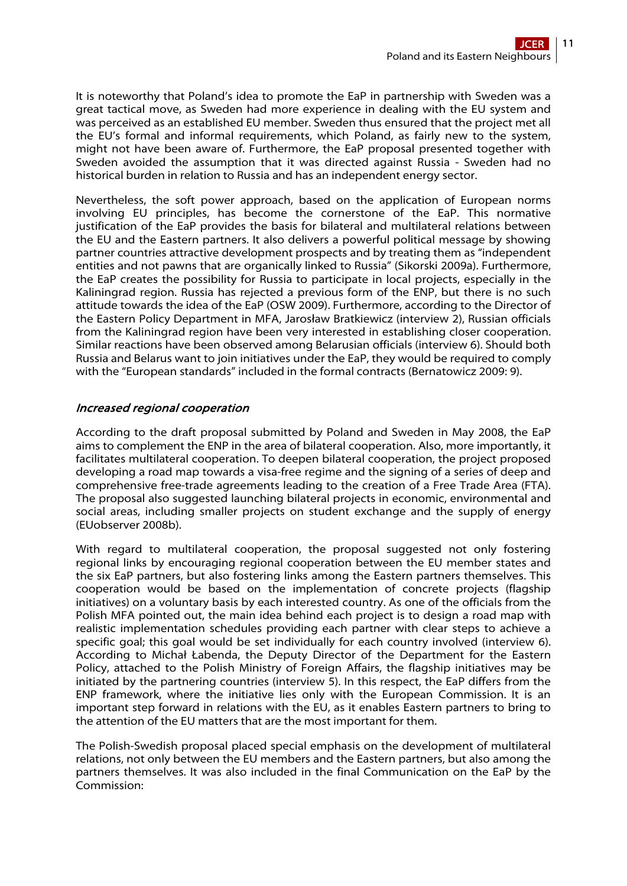It is noteworthy that Poland's idea to promote the EaP in partnership with Sweden was a great tactical move, as Sweden had more experience in dealing with the EU system and was perceived as an established EU member. Sweden thus ensured that the project met all the EU's formal and informal requirements, which Poland, as fairly new to the system, might not have been aware of. Furthermore, the EaP proposal presented together with Sweden avoided the assumption that it was directed against Russia - Sweden had no historical burden in relation to Russia and has an independent energy sector.

Nevertheless, the soft power approach, based on the application of European norms involving EU principles, has become the cornerstone of the EaP. This normative justification of the EaP provides the basis for bilateral and multilateral relations between the EU and the Eastern partners. It also delivers a powerful political message by showing partner countries attractive development prospects and by treating them as "independent entities and not pawns that are organically linked to Russia" (Sikorski 2009a). Furthermore, the EaP creates the possibility for Russia to participate in local projects, especially in the Kaliningrad region. Russia has rejected a previous form of the ENP, but there is no such attitude towards the idea of the EaP (OSW 2009). Furthermore, according to the Director of the Eastern Policy Department in MFA, Jarosław Bratkiewicz (interview 2), Russian officials from the Kaliningrad region have been very interested in establishing closer cooperation. Similar reactions have been observed among Belarusian officials (interview 6). Should both Russia and Belarus want to join initiatives under the EaP, they would be required to comply with the "European standards" included in the formal contracts (Bernatowicz 2009: 9).

# Increased regional cooperation

According to the draft proposal submitted by Poland and Sweden in May 2008, the EaP aims to complement the ENP in the area of bilateral cooperation. Also, more importantly, it facilitates multilateral cooperation. To deepen bilateral cooperation, the project proposed developing a road map towards a visa-free regime and the signing of a series of deep and comprehensive free-trade agreements leading to the creation of a Free Trade Area (FTA). The proposal also suggested launching bilateral projects in economic, environmental and social areas, including smaller projects on student exchange and the supply of energy (EUobserver 2008b).

With regard to multilateral cooperation, the proposal suggested not only fostering regional links by encouraging regional cooperation between the EU member states and the six EaP partners, but also fostering links among the Eastern partners themselves. This cooperation would be based on the implementation of concrete projects (flagship initiatives) on a voluntary basis by each interested country. As one of the officials from the Polish MFA pointed out, the main idea behind each project is to design a road map with realistic implementation schedules providing each partner with clear steps to achieve a specific goal; this goal would be set individually for each country involved (interview 6). According to Michał Łabenda, the Deputy Director of the Department for the Eastern Policy, attached to the Polish Ministry of Foreign Affairs, the flagship initiatives may be initiated by the partnering countries (interview 5). In this respect, the EaP differs from the ENP framework, where the initiative lies only with the European Commission. It is an important step forward in relations with the EU, as it enables Eastern partners to bring to the attention of the EU matters that are the most important for them.

The Polish-Swedish proposal placed special emphasis on the development of multilateral relations, not only between the EU members and the Eastern partners, but also among the partners themselves. It was also included in the final Communication on the EaP by the Commission: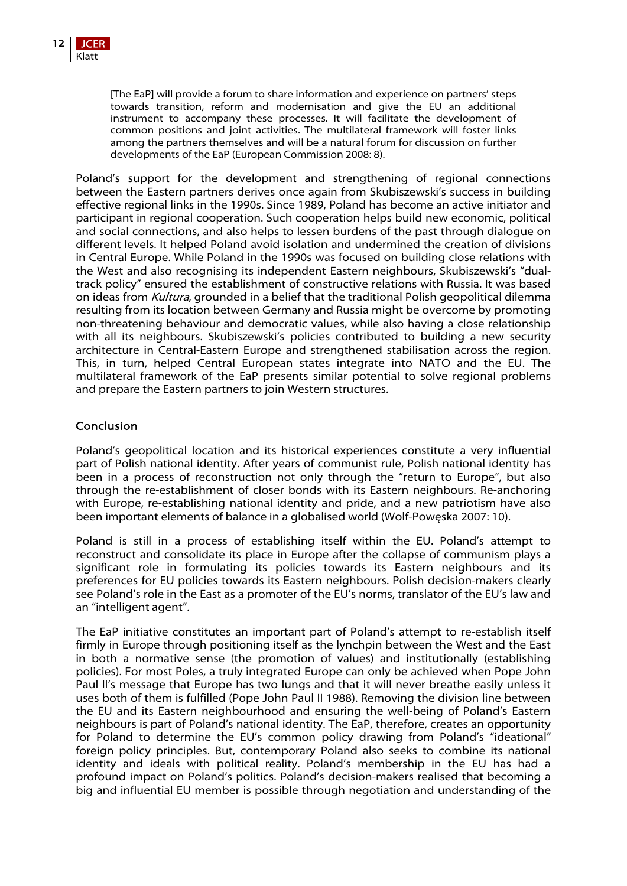[The EaP] will provide a forum to share information and experience on partners' steps towards transition, reform and modernisation and give the EU an additional instrument to accompany these processes. It will facilitate the development of common positions and joint activities. The multilateral framework will foster links among the partners themselves and will be a natural forum for discussion on further developments of the EaP (European Commission 2008: 8).

Poland's support for the development and strengthening of regional connections between the Eastern partners derives once again from Skubiszewski's success in building effective regional links in the 1990s. Since 1989, Poland has become an active initiator and participant in regional cooperation. Such cooperation helps build new economic, political and social connections, and also helps to lessen burdens of the past through dialogue on different levels. It helped Poland avoid isolation and undermined the creation of divisions in Central Europe. While Poland in the 1990s was focused on building close relations with the West and also recognising its independent Eastern neighbours, Skubiszewski's "dualtrack policy" ensured the establishment of constructive relations with Russia. It was based on ideas from *Kultura*, grounded in a belief that the traditional Polish geopolitical dilemma resulting from its location between Germany and Russia might be overcome by promoting non-threatening behaviour and democratic values, while also having a close relationship with all its neighbours. Skubiszewski's policies contributed to building a new security architecture in Central-Eastern Europe and strengthened stabilisation across the region. This, in turn, helped Central European states integrate into NATO and the EU. The multilateral framework of the EaP presents similar potential to solve regional problems and prepare the Eastern partners to join Western structures.

# Conclusion

Poland's geopolitical location and its historical experiences constitute a very influential part of Polish national identity. After years of communist rule, Polish national identity has been in a process of reconstruction not only through the "return to Europe", but also through the re-establishment of closer bonds with its Eastern neighbours. Re-anchoring with Europe, re-establishing national identity and pride, and a new patriotism have also been important elements of balance in a globalised world (Wolf-Powęska 2007: 10).

Poland is still in a process of establishing itself within the EU. Poland's attempt to reconstruct and consolidate its place in Europe after the collapse of communism plays a significant role in formulating its policies towards its Eastern neighbours and its preferences for EU policies towards its Eastern neighbours. Polish decision-makers clearly see Poland's role in the East as a promoter of the EU's norms, translator of the EU's law and an "intelligent agent".

The EaP initiative constitutes an important part of Poland's attempt to re-establish itself firmly in Europe through positioning itself as the lynchpin between the West and the East in both a normative sense (the promotion of values) and institutionally (establishing policies). For most Poles, a truly integrated Europe can only be achieved when Pope John Paul II's message that Europe has two lungs and that it will never breathe easily unless it uses both of them is fulfilled (Pope John Paul II 1988). Removing the division line between the EU and its Eastern neighbourhood and ensuring the well-being of Poland's Eastern neighbours is part of Poland's national identity. The EaP, therefore, creates an opportunity for Poland to determine the EU's common policy drawing from Poland's "ideational" foreign policy principles. But, contemporary Poland also seeks to combine its national identity and ideals with political reality. Poland's membership in the EU has had a profound impact on Poland's politics. Poland's decision-makers realised that becoming a big and influential EU member is possible through negotiation and understanding of the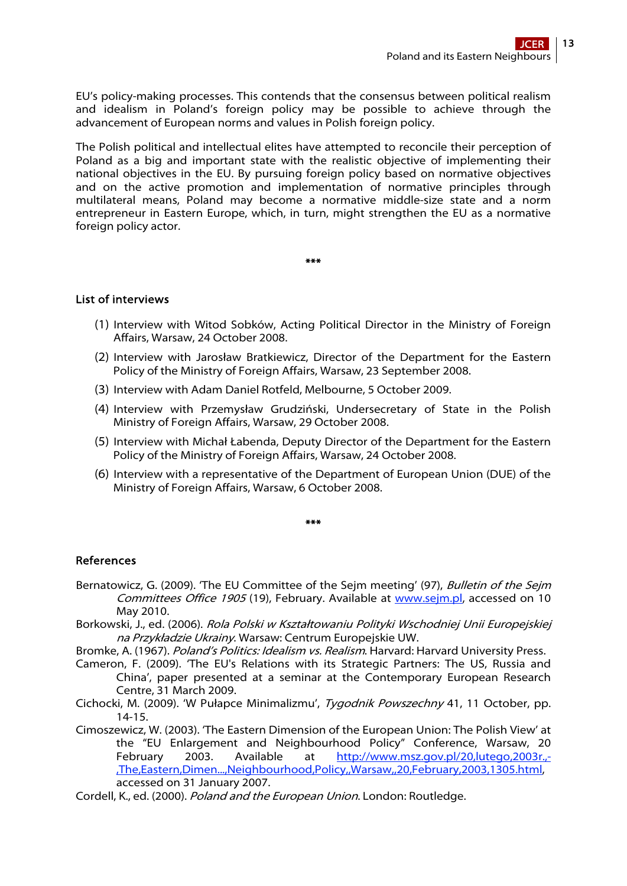EU's policy-making processes. This contends that the consensus between political realism and idealism in Poland's foreign policy may be possible to achieve through the advancement of European norms and values in Polish foreign policy.

The Polish political and intellectual elites have attempted to reconcile their perception of Poland as a big and important state with the realistic objective of implementing their national objectives in the EU. By pursuing foreign policy based on normative objectives and on the active promotion and implementation of normative principles through multilateral means, Poland may become a normative middle-size state and a norm entrepreneur in Eastern Europe, which, in turn, might strengthen the EU as a normative foreign policy actor.

#### \*\*\*

# List of interviews

- (1) Interview with Witod Sobków, Acting Political Director in the Ministry of Foreign Affairs, Warsaw, 24 October 2008.
- (2) Interview with Jarosław Bratkiewicz, Director of the Department for the Eastern Policy of the Ministry of Foreign Affairs, Warsaw, 23 September 2008.
- (3) Interview with Adam Daniel Rotfeld, Melbourne, 5 October 2009.
- (4) Interview with Przemysław Grudziński, Undersecretary of State in the Polish Ministry of Foreign Affairs, Warsaw, 29 October 2008.
- (5) Interview with Michał Łabenda, Deputy Director of the Department for the Eastern Policy of the Ministry of Foreign Affairs, Warsaw, 24 October 2008.
- (6) Interview with a representative of the Department of European Union (DUE) of the Ministry of Foreign Affairs, Warsaw, 6 October 2008.

#### \*\*\*

# References

- Bernatowicz, G. (2009). 'The EU Committee of the Seim meeting' (97), Bulletin of the Seim Committees Office 1905 (19), February. Available at [www.sejm.pl](http://www.sejm.pl/), accessed on 10 May 2010.
- Borkowski, J., ed. (2006). Rola Polski w Kształtowaniu Polityki Wschodniej Unii Europejskiej na Przykładzie Ukrainy. Warsaw: Centrum Europejskie UW.
- Bromke, A. (1967). Poland's Politics: Idealism vs. Realism. Harvard: Harvard University Press.
- Cameron, F. (2009). 'The EU's Relations with its Strategic Partners: The US, Russia and China', paper presented at a seminar at the Contemporary European Research Centre, 31 March 2009.
- Cichocki, M. (2009). 'W Pułapce Minimalizmu', Tygodnik Powszechny 41, 11 October, pp. 14-15.
- Cimoszewicz, W. (2003). 'The Eastern Dimension of the European Union: The Polish View' at the "EU Enlargement and Neighbourhood Policy" Conference, Warsaw, 20 February 2003. Available at [http://www.msz.gov.pl/20,lutego,2003r.,-](http://www.msz.gov.pl/20,lutego,2003r.,-,The,Eastern,Dimen...,Neighbourhood,Policy,,Warsaw,,20,February,2003,1305.html) [,The,Eastern,Dimen...,Neighbourhood,Policy,,Warsaw,,20,February,2003,1305.html](http://www.msz.gov.pl/20,lutego,2003r.,-,The,Eastern,Dimen...,Neighbourhood,Policy,,Warsaw,,20,February,2003,1305.html), accessed on 31 January 2007.
- Cordell, K., ed. (2000). Poland and the European Union. London: Routledge.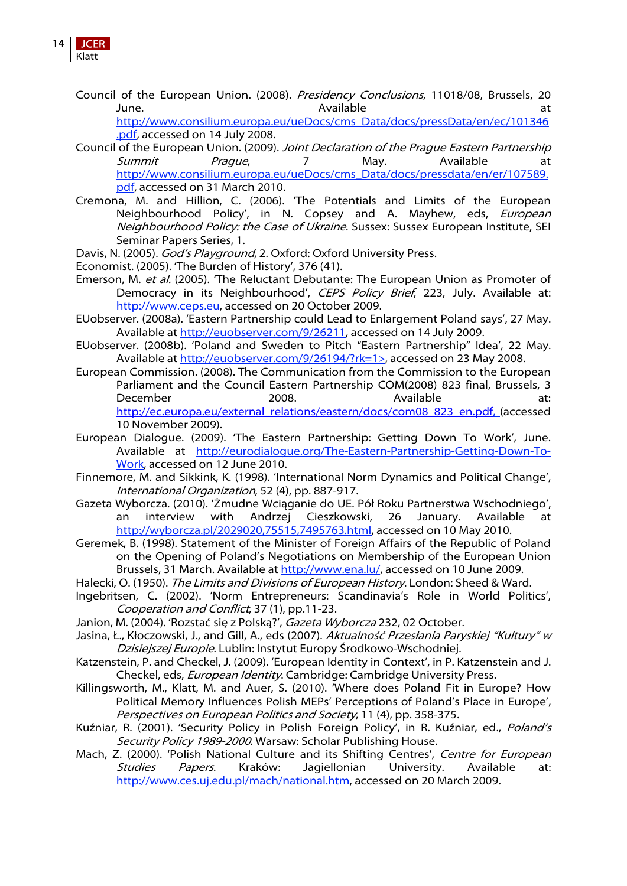

Council of the European Union. (2008). Presidency Conclusions, 11018/08, Brussels, 20 June. **Available** at the state of the state at the state at the state at the state at the state at the state at  $\lambda$ 

[http://www.consilium.europa.eu/ueDocs/cms\\_Data/docs/pressData/en/ec/101346](http://www.consilium.europa.eu/ueDocs/cms_Data/docs/pressData/en/ec/101346.pdf) [.pdf,](http://www.consilium.europa.eu/ueDocs/cms_Data/docs/pressData/en/ec/101346.pdf) accessed on 14 July 2008.

- Council of the European Union. (2009). Joint Declaration of the Prague Eastern Partnership Summit Prague, 7 May. Available at [http://www.consilium.europa.eu/ueDocs/cms\\_Data/docs/pressdata/en/er/107589.](http://www.consilium.europa.eu/ueDocs/cms_Data/docs/pressdata/en/er/107589.pdf) [pdf,](http://www.consilium.europa.eu/ueDocs/cms_Data/docs/pressdata/en/er/107589.pdf) accessed on 31 March 2010.
- Cremona, M. and Hillion, C. (2006). 'The Potentials and Limits of the European Neighbourhood Policy', in N. Copsey and A. Mayhew, eds, European Neighbourhood Policy: the Case of Ukraine. Sussex: Sussex European Institute, SEI Seminar Papers Series, 1.
- Davis, N. (2005). God's Playground, 2. Oxford: Oxford University Press.
- Economist. (2005). 'The Burden of History', 376 (41).
- Emerson, M. et al. (2005). 'The Reluctant Debutante: The European Union as Promoter of Democracy in its Neighbourhood', CEPS Policy Brief, 223, July. Available at: [http://www.ceps.eu,](http://www.ceps.eu/) accessed on 20 October 2009.
- EUobserver. (2008a). 'Eastern Partnership could Lead to Enlargement Poland says', 27 May. Available at<http://euobserver.com/9/26211>, accessed on 14 July 2009.
- EUobserver. (2008b). 'Poland and Sweden to Pitch "Eastern Partnership" Idea', 22 May. Available at [http://euobserver.com/9/26194/?rk=1>,](http://euobserver.com/9/26194/?rk=1%3E) accessed on 23 May 2008.
- European Commission. (2008). The Communication from the Commission to the European Parliament and the Council Eastern Partnership COM(2008) 823 final, Brussels, 3 December 2008. Available at: [http://ec.europa.eu/external\\_relations/eastern/docs/com08\\_823\\_en.pdf](http://ec.europa.eu/external_relations/eastern/docs/com08_823_en.pdf), (accessed 10 November 2009).
- European Dialogue. (2009). 'The Eastern Partnership: Getting Down To Work', June. Available at [http://eurodialogue.org/The-Eastern-Partnership-Getting-Down-To-](http://eurodialogue.org/The-Eastern-Partnership-Getting-Down-To-Work)[Work,](http://eurodialogue.org/The-Eastern-Partnership-Getting-Down-To-Work) accessed on 12 June 2010.
- Finnemore, M. and Sikkink, K. (1998). 'International Norm Dynamics and Political Change', International Organization, 52 (4), pp. 887-917.
- Gazeta Wyborcza. (2010). 'Żmudne Wciąganie do UE. Pół Roku Partnerstwa Wschodniego', an interview with Andrzej Cieszkowski, 26 January. Available at [http://wyborcza.pl/2029020,75515,7495763.html,](http://wyborcza.pl/2029020,75515,7495763.html) accessed on 10 May 2010.
- Geremek, B. (1998). Statement of the Minister of Foreign Affairs of the Republic of Poland on the Opening of Poland's Negotiations on Membership of the European Union Brussels, 31 March. Available at <http://www.ena.lu/>, accessed on 10 June 2009.
- Halecki, O. (1950). The Limits and Divisions of European History. London: Sheed & Ward.
- Ingebritsen, C. (2002). 'Norm Entrepreneurs: Scandinavia's Role in World Politics', Cooperation and Conflict, 37 (1), pp.11-23.
- Janion, M. (2004). 'Rozstać się z Polską?', Gazeta Wyborcza 232, 02 October.
- Jasina, Ł., Kłoczowski, J., and Gill, A., eds (2007). Aktualność Przesłania Paryskiej "Kultury" w Dzisiejszej Europie. Lublin: Instytut Europy Środkowo-Wschodniej.
- Katzenstein, P. and Checkel, J. (2009). 'European Identity in Context', in P. Katzenstein and J. Checkel, eds, European Identity. Cambridge: Cambridge University Press.
- Killingsworth, M., Klatt, M. and Auer, S. (2010). 'Where does Poland Fit in Europe? How Political Memory Influences Polish MEPs' Perceptions of Poland's Place in Europe', Perspectives on European Politics and Society, 11 (4), pp. 358-375.
- Kuźniar, R. (2001). 'Security Policy in Polish Foreign Policy', in R. Kuźniar, ed., Poland's Security Policy 1989-2000. Warsaw: Scholar Publishing House.
- Mach, Z. (2000). 'Polish National Culture and its Shifting Centres', Centre for European Studies Papers. Kraków: Jagiellonian University. Available at: <http://www.ces.uj.edu.pl/mach/national.htm>, accessed on 20 March 2009.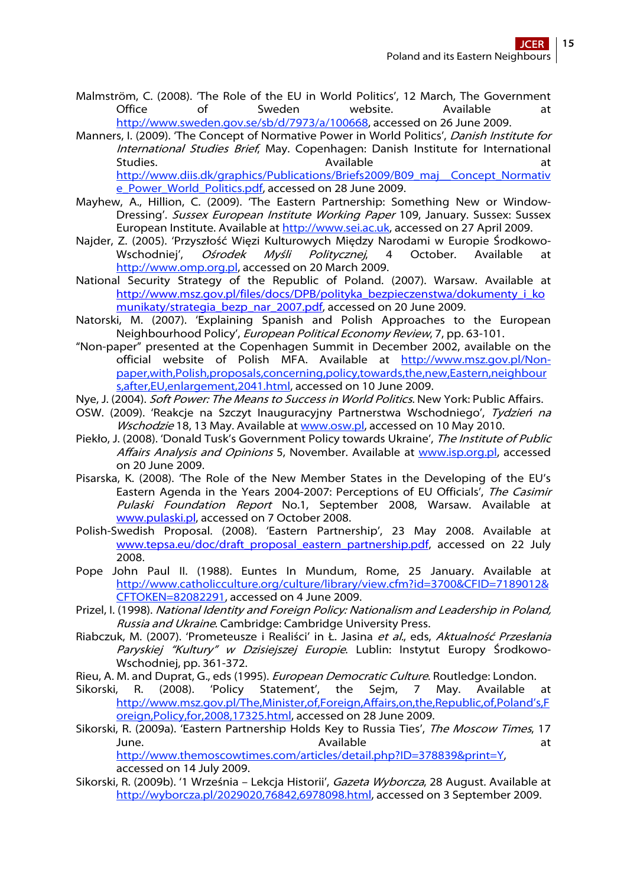- Malmström, C. (2008). 'The Role of the EU in World Politics', 12 March, The Government Office of Sweden website. Available at [http://www.sweden.gov.se/sb/d/7973/a/100668,](http://www.sweden.gov.se/sb/d/7973/a/100668) accessed on 26 June 2009.
- Manners, I. (2009). 'The Concept of Normative Power in World Politics', Danish Institute for International Studies Brief, May. Copenhagen: Danish Institute for International Studies. The action of the Available at the Available at the Available at the Available at the Available at the Available at the Available at the Available at the Available at the Available at the Available at the Availabl [http://www.diis.dk/graphics/Publications/Briefs2009/B09\\_maj\\_\\_Concept\\_Normativ](http://www.diis.dk/graphics/Publications/Briefs2009/B09_maj__Concept_Normative_Power_World_Politics.pdf) [e\\_Power\\_World\\_Politics.pdf,](http://www.diis.dk/graphics/Publications/Briefs2009/B09_maj__Concept_Normative_Power_World_Politics.pdf) accessed on 28 June 2009.
- Mayhew, A., Hillion, C. (2009). 'The Eastern Partnership: Something New or Window-Dressing'. Sussex European Institute Working Paper 109, January. Sussex: Sussex European Institute. Available at [http://www.sei.ac.uk](http://www.sei.ac.uk/), accessed on 27 April 2009.
- Najder, Z. (2005). 'Przyszłość Więzi Kulturowych Między Narodami w Europie Środkowo-<br>Wschodniei'. *Ośrodek Myśli Politycznei*. 4 October. Available at Ośrodek Myśli Politycznej, 4 October. Available at [http://www.omp.org.pl,](http://www.omp.org.pl/) accessed on 20 March 2009.
- National Security Strategy of the Republic of Poland. (2007). Warsaw. Available at [http://www.msz.gov.pl/files/docs/DPB/polityka\\_bezpieczenstwa/dokumenty\\_i\\_ko](http://www.msz.gov.pl/files/docs/DPB/polityka_bezpieczenstwa/dokumenty_i_komunikaty/strategia_bezp_nar_2007.pdf) [munikaty/strategia\\_bezp\\_nar\\_2007.pdf,](http://www.msz.gov.pl/files/docs/DPB/polityka_bezpieczenstwa/dokumenty_i_komunikaty/strategia_bezp_nar_2007.pdf) accessed on 20 June 2009.
- Natorski, M. (2007). 'Explaining Spanish and Polish Approaches to the European Neighbourhood Policy', European Political Economy Review, 7, pp. 63-101.
- "Non-paper" presented at the Copenhagen Summit in December 2002, available on the official website of Polish MFA. Available at [http://www.msz.gov.pl/Non](http://www.msz.gov.pl/Non-paper,with,Polish,proposals,concerning,policy,towards,the,new,Eastern,neighbours,after,EU,enlargement,2041.html)[paper,with,Polish,proposals,concerning,policy,towards,the,new,Eastern,neighbour](http://www.msz.gov.pl/Non-paper,with,Polish,proposals,concerning,policy,towards,the,new,Eastern,neighbours,after,EU,enlargement,2041.html) [s,after,EU,enlargement,2041.html,](http://www.msz.gov.pl/Non-paper,with,Polish,proposals,concerning,policy,towards,the,new,Eastern,neighbours,after,EU,enlargement,2041.html) accessed on 10 June 2009.
- Nye, J. (2004). *Soft Power: The Means to Success in World Politics*. New York: Public Affairs.
- OSW. (2009). 'Reakcje na Szczyt Inauguracyjny Partnerstwa Wschodniego', Tydzień na Wschodzie 18, 13 May. Available at [www.osw.pl](http://www.osw.pl/), accessed on 10 May 2010.
- Piekło, J. (2008). 'Donald Tusk's Government Policy towards Ukraine', The Institute of Public Affairs Analysis and Opinions 5, November. Available at [www.isp.org.pl](http://www.isp.org.pl/), accessed on 20 June 2009.
- Pisarska, K. (2008). 'The Role of the New Member States in the Developing of the EU's Eastern Agenda in the Years 2004-2007: Perceptions of EU Officials', The Casimir Pulaski Foundation Report No.1, September 2008, Warsaw. Available at <www.pulaski.pl>, accessed on 7 October 2008.
- Polish-Swedish Proposal. (2008). 'Eastern Partnership', 23 May 2008. Available at [www.tepsa.eu/doc/draft\\_proposal\\_eastern\\_partnership.pdf](www.tepsa.eu/doc/draft_proposal_eastern_partnership.pdf), accessed on 22 July 2008.
- Pope John Paul II. (1988). Euntes In Mundum, Rome, 25 January. Available at [http://www.catholicculture.org/culture/library/view.cfm?id=3700&CFID=7189012&](http://www.catholicculture.org/culture/library/view.cfm?id=3700&CFID=7189012&CFTOKEN=82082291) [CFTOKEN=82082291,](http://www.catholicculture.org/culture/library/view.cfm?id=3700&CFID=7189012&CFTOKEN=82082291) accessed on 4 June 2009.
- Prizel, I. (1998). National Identity and Foreign Policy: Nationalism and Leadership in Poland, Russia and Ukraine. Cambridge: Cambridge University Press.
- Riabczuk, M. (2007). 'Prometeusze i Realiści' in Ł. Jasina et al., eds, Aktualność Przesłania Paryskiej "Kultury" w Dzisiejszej Europie. Lublin: Instytut Europy Środkowo-Wschodniej, pp. 361-372.
- Rieu, A. M. and Duprat, G., eds (1995). *European Democratic Culture*. Routledge: London.
- Sikorski, R. (2008). 'Policy Statement', the Sejm, 7 May. Available at [http://www.msz.gov.pl/The,Minister,of,Foreign,Affairs,on,the,Republic,of,Poland's,F](http://www.msz.gov.pl/The,Minister,of,Foreign,Affairs,on,the,Republic,of,Poland) [oreign,Policy,for,2008,17325.html,](http://www.msz.gov.pl/The,Minister,of,Foreign,Affairs,on,the,Republic,of,Poland) accessed on 28 June 2009.
- Sikorski, R. (2009a). 'Eastern Partnership Holds Key to Russia Ties', The Moscow Times, 17 June. **Available Available at**

[http://www.themoscowtimes.com/articles/detail.php?ID=378839&print=Y,](http://www.themoscowtimes.com/articles/detail.php?ID=378839&print=Y) accessed on 14 July 2009.

Sikorski, R. (2009b). '1 Września – Lekcja Historii', Gazeta Wyborcza, 28 August. Available at [http://wyborcza.pl/2029020,76842,6978098.html,](http://wyborcza.pl/2029020,76842,6978098.html) accessed on 3 September 2009.